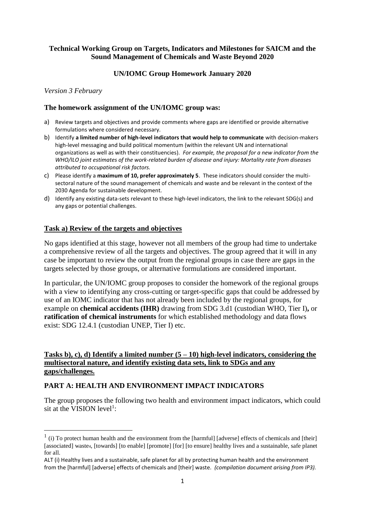### **Technical Working Group on Targets, Indicators and Milestones for SAICM and the Sound Management of Chemicals and Waste Beyond 2020**

## **UN/IOMC Group Homework January 2020**

### *Version 3 February*

 $\overline{a}$ 

#### **The homework assignment of the UN/IOMC group was:**

- a) Review targets and objectives and provide comments where gaps are identified or provide alternative formulations where considered necessary.
- b) Identify **a limited number of high-level indicators that would help to communicate** with decision-makers high-level messaging and build political momentum (within the relevant UN and international organizations as well as with their constituencies). *For example, the proposal for a new indicator from the WHO/ILO joint estimates of the work-related burden of disease and injury: Mortality rate from diseases attributed to occupational risk factors.*
- c) Please identify a **maximum of 10, prefer approximately 5**. These indicators should consider the multisectoral nature of the sound management of chemicals and waste and be relevant in the context of the 2030 Agenda for sustainable development.
- d) Identify any existing data-sets relevant to these high-level indicators, the link to the relevant SDG(s) and any gaps or potential challenges.

### **Task a) Review of the targets and objectives**

No gaps identified at this stage, however not all members of the group had time to undertake a comprehensive review of all the targets and objectives. The group agreed that it will in any case be important to review the output from the regional groups in case there are gaps in the targets selected by those groups, or alternative formulations are considered important.

In particular, the UN/IOMC group proposes to consider the homework of the regional groups with a view to identifying any cross-cutting or target-specific gaps that could be addressed by use of an IOMC indicator that has not already been included by the regional groups, for example on **chemical accidents (IHR)** drawing from SDG 3.d1 (custodian WHO, Tier I)**,** or **ratification of chemical instruments** for which established methodology and data flows exist: SDG 12.4.1 (custodian UNEP, Tier I) etc.

### **Tasks b), c), d) Identify a limited number (5 – 10) high-level indicators, considering the multisectoral nature, and identify existing data sets, link to SDGs and any gaps/challenges.**

## **PART A: HEALTH AND ENVIRONMENT IMPACT INDICATORS**

The group proposes the following two health and environment impact indicators, which could sit at the VISION level<sup>1</sup>:

 $<sup>1</sup>$  (i) To protect human health and the environment from the [harmful] [adverse] effects of chemicals and [their]</sup> [associated] waste4, [towards] [to enable] [promote] [for] [to ensure] healthy lives and a sustainable, safe planet for all.

ALT (i) Healthy lives and a sustainable, safe planet for all by protecting human health and the environment from the [harmful] [adverse] effects of chemicals and [their] waste. *(compilation document arising from IP3).*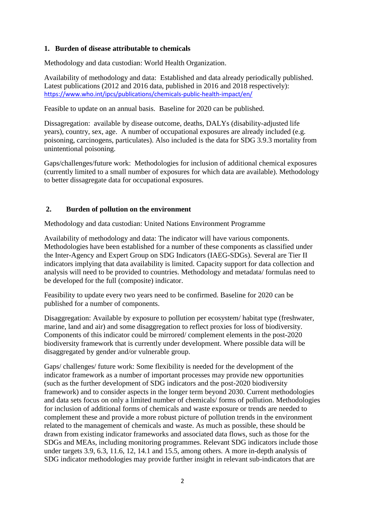## **1. Burden of disease attributable to chemicals**

Methodology and data custodian: World Health Organization.

Availability of methodology and data: Established and data already periodically published. Latest publications (2012 and 2016 data, published in 2016 and 2018 respectively): <https://www.who.int/ipcs/publications/chemicals-public-health-impact/en/>

Feasible to update on an annual basis. Baseline for 2020 can be published.

Dissagregation: available by disease outcome, deaths, DALYs (disability-adjusted life years), country, sex, age. A number of occupational exposures are already included (e.g. poisoning, carcinogens, particulates). Also included is the data for SDG 3.9.3 mortality from unintentional poisoning.

Gaps/challenges/future work: Methodologies for inclusion of additional chemical exposures (currently limited to a small number of exposures for which data are available). Methodology to better dissagregate data for occupational exposures.

## **2. Burden of pollution on the environment**

Methodology and data custodian: United Nations Environment Programme

Availability of methodology and data: The indicator will have various components. Methodologies have been established for a number of these components as classified under the Inter-Agency and Expert Group on SDG Indicators (IAEG-SDGs). Several are Tier II indicators implying that data availability is limited. Capacity support for data collection and analysis will need to be provided to countries. Methodology and metadata/ formulas need to be developed for the full (composite) indicator.

Feasibility to update every two years need to be confirmed. Baseline for 2020 can be published for a number of components.

Disaggregation: Available by exposure to pollution per ecosystem/ habitat type (freshwater, marine, land and air) and some disaggregation to reflect proxies for loss of biodiversity. Components of this indicator could be mirrored/ complement elements in the post-2020 biodiversity framework that is currently under development. Where possible data will be disaggregated by gender and/or vulnerable group.

Gaps/ challenges/ future work: Some flexibility is needed for the development of the indicator framework as a number of important processes may provide new opportunities (such as the further development of SDG indicators and the post-2020 biodiversity framework) and to consider aspects in the longer term beyond 2030. Current methodologies and data sets focus on only a limited number of chemicals/ forms of pollution. Methodologies for inclusion of additional forms of chemicals and waste exposure or trends are needed to complement these and provide a more robust picture of pollution trends in the environment related to the management of chemicals and waste. As much as possible, these should be drawn from existing indicator frameworks and associated data flows, such as those for the SDGs and MEAs, including monitoring programmes. Relevant SDG indicators include those under targets 3.9, 6.3, 11.6, 12, 14.1 and 15.5, among others. A more in-depth analysis of SDG indicator methodologies may provide further insight in relevant sub-indicators that are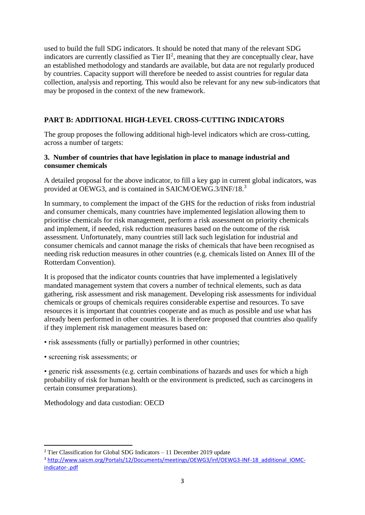used to build the full SDG indicators. It should be noted that many of the relevant SDG indicators are currently classified as Tier  $II^2$ , meaning that they are conceptually clear, have an established methodology and standards are available, but data are not regularly produced by countries. Capacity support will therefore be needed to assist countries for regular data collection, analysis and reporting. This would also be relevant for any new sub-indicators that may be proposed in the context of the new framework.

# **PART B: ADDITIONAL HIGH-LEVEL CROSS-CUTTING INDICATORS**

The group proposes the following additional high-level indicators which are cross-cutting, across a number of targets:

## **3. Number of countries that have legislation in place to manage industrial and consumer chemicals**

A detailed proposal for the above indicator, to fill a key gap in current global indicators, was provided at OEWG3, and is contained in SAICM/OEWG.3/INF/18.<sup>3</sup>

In summary, to complement the impact of the GHS for the reduction of risks from industrial and consumer chemicals, many countries have implemented legislation allowing them to prioritise chemicals for risk management, perform a risk assessment on priority chemicals and implement, if needed, risk reduction measures based on the outcome of the risk assessment. Unfortunately, many countries still lack such legislation for industrial and consumer chemicals and cannot manage the risks of chemicals that have been recognised as needing risk reduction measures in other countries (e.g. chemicals listed on Annex III of the Rotterdam Convention).

It is proposed that the indicator counts countries that have implemented a legislatively mandated management system that covers a number of technical elements, such as data gathering, risk assessment and risk management. Developing risk assessments for individual chemicals or groups of chemicals requires considerable expertise and resources. To save resources it is important that countries cooperate and as much as possible and use what has already been performed in other countries. It is therefore proposed that countries also qualify if they implement risk management measures based on:

• risk assessments (fully or partially) performed in other countries;

• screening risk assessments; or

**.** 

• generic risk assessments (e.g. certain combinations of hazards and uses for which a high probability of risk for human health or the environment is predicted, such as carcinogens in certain consumer preparations).

Methodology and data custodian: OECD

<sup>&</sup>lt;sup>2</sup> Tier Classification for Global SDG Indicators – 11 December 2019 update

<sup>3</sup> [http://www.saicm.org/Portals/12/Documents/meetings/OEWG3/inf/OEWG3-INF-18\\_additional\\_IOMC](http://www.saicm.org/Portals/12/Documents/meetings/OEWG3/inf/OEWG3-INF-18_additional_IOMC-indicator-.pdf)[indicator-.pdf](http://www.saicm.org/Portals/12/Documents/meetings/OEWG3/inf/OEWG3-INF-18_additional_IOMC-indicator-.pdf)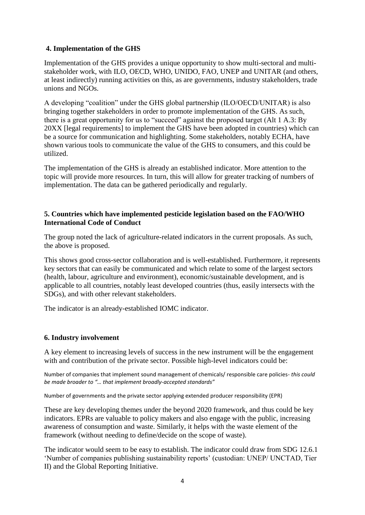## **4. Implementation of the GHS**

Implementation of the GHS provides a unique opportunity to show multi-sectoral and multistakeholder work, with ILO, OECD, WHO, UNIDO, FAO, UNEP and UNITAR (and others, at least indirectly) running activities on this, as are governments, industry stakeholders, trade unions and NGOs.

A developing "coalition" under the GHS global partnership (ILO/OECD/UNITAR) is also bringing together stakeholders in order to promote implementation of the GHS. As such, there is a great opportunity for us to "succeed" against the proposed target (Alt 1 A.3: By 20XX [legal requirements] to implement the GHS have been adopted in countries) which can be a source for communication and highlighting. Some stakeholders, notably ECHA, have shown various tools to communicate the value of the GHS to consumers, and this could be utilized.

The implementation of the GHS is already an established indicator. More attention to the topic will provide more resources. In turn, this will allow for greater tracking of numbers of implementation. The data can be gathered periodically and regularly.

### **5. Countries which have implemented pesticide legislation based on the FAO/WHO International Code of Conduct**

The group noted the lack of agriculture-related indicators in the current proposals. As such, the above is proposed.

This shows good cross-sector collaboration and is well-established. Furthermore, it represents key sectors that can easily be communicated and which relate to some of the largest sectors (health, labour, agriculture and environment), economic/sustainable development, and is applicable to all countries, notably least developed countries (thus, easily intersects with the SDGs), and with other relevant stakeholders.

The indicator is an already-established IOMC indicator.

### **6. Industry involvement**

A key element to increasing levels of success in the new instrument will be the engagement with and contribution of the private sector. Possible high-level indicators could be:

Number of companies that implement sound management of chemicals/ responsible care policies- *this could be made broader to "… that implement broadly-accepted standards"*

Number of governments and the private sector applying extended producer responsibility (EPR)

These are key developing themes under the beyond 2020 framework, and thus could be key indicators. EPRs are valuable to policy makers and also engage with the public, increasing awareness of consumption and waste. Similarly, it helps with the waste element of the framework (without needing to define/decide on the scope of waste).

The indicator would seem to be easy to establish. The indicator could draw from SDG 12.6.1 'Number of companies publishing sustainability reports' (custodian: UNEP/ UNCTAD, Tier II) and the Global Reporting Initiative.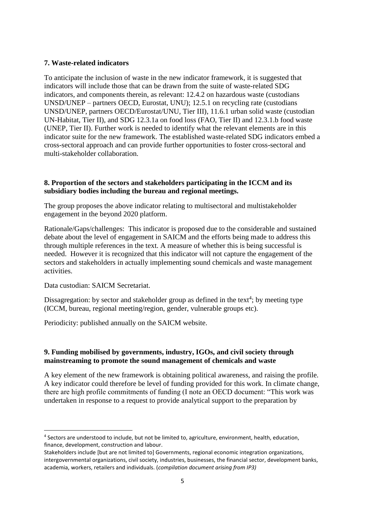## **7. Waste-related indicators**

To anticipate the inclusion of waste in the new indicator framework, it is suggested that indicators will include those that can be drawn from the suite of waste-related SDG indicators, and components therein, as relevant: 12.4.2 on hazardous waste (custodians UNSD/UNEP – partners OECD, Eurostat, UNU); 12.5.1 on recycling rate (custodians UNSD/UNEP, partners OECD/Eurostat/UNU, Tier III), 11.6.1 urban solid waste (custodian UN-Habitat, Tier II), and SDG 12.3.1a on food loss (FAO, Tier II) and 12.3.1.b food waste (UNEP, Tier II). Further work is needed to identify what the relevant elements are in this indicator suite for the new framework. The established waste-related SDG indicators embed a cross-sectoral approach and can provide further opportunities to foster cross-sectoral and multi-stakeholder collaboration.

### **8. Proportion of the sectors and stakeholders participating in the ICCM and its subsidiary bodies including the bureau and regional meetings.**

The group proposes the above indicator relating to multisectoral and multistakeholder engagement in the beyond 2020 platform.

Rationale/Gaps/challenges: This indicator is proposed due to the considerable and sustained debate about the level of engagement in SAICM and the efforts being made to address this through multiple references in the text. A measure of whether this is being successful is needed. However it is recognized that this indicator will not capture the engagement of the sectors and stakeholders in actually implementing sound chemicals and waste management activities.

Data custodian: SAICM Secretariat.

**.** 

Dissagregation: by sector and stakeholder group as defined in the text<sup>4</sup>; by meeting type (ICCM, bureau, regional meeting/region, gender, vulnerable groups etc).

Periodicity: published annually on the SAICM website.

### **9. Funding mobilised by governments, industry, IGOs, and civil society through mainstreaming to promote the sound management of chemicals and waste**

A key element of the new framework is obtaining political awareness, and raising the profile. A key indicator could therefore be level of funding provided for this work. In climate change, there are high profile commitments of funding (I note an OECD document: "This work was undertaken in response to a request to provide analytical support to the preparation by

<sup>&</sup>lt;sup>4</sup> Sectors are understood to include, but not be limited to, agriculture, environment, health, education, finance, development, construction and labour.

Stakeholders include [but are not limited to] Governments, regional economic integration organizations, intergovernmental organizations, civil society, industries, businesses, the financial sector, development banks, academia, workers, retailers and individuals. (*compilation document arising from IP3)*